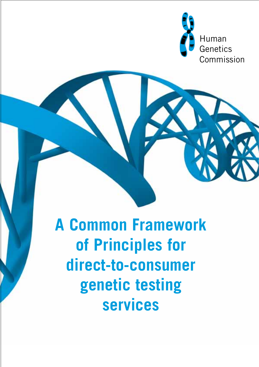

**A Common Framework of Principles for direct-to-consumer genetic testing services**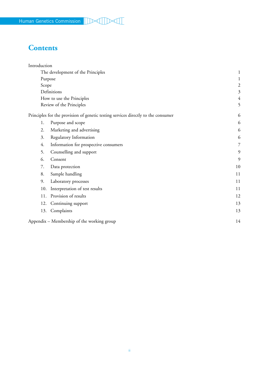# **Contents**

| Introduction                                                                      |                                            |                         |
|-----------------------------------------------------------------------------------|--------------------------------------------|-------------------------|
|                                                                                   | The development of the Principles          |                         |
|                                                                                   | Purpose                                    |                         |
| Scope                                                                             |                                            | $\overline{\mathbf{c}}$ |
| Definitions                                                                       |                                            | 3                       |
| How to use the Principles                                                         |                                            | $\overline{4}$          |
| Review of the Principles                                                          |                                            | 5                       |
| Principles for the provision of genetic testing services directly to the consumer |                                            | 6                       |
| 1.                                                                                | Purpose and scope                          | 6                       |
| 2.                                                                                | Marketing and advertising                  | 6                       |
| 3.                                                                                | Regulatory Information                     | 6                       |
| 4.                                                                                | Information for prospective consumers      | 7                       |
| 5.                                                                                | Counselling and support                    | 9                       |
| 6.                                                                                | Consent                                    | 9                       |
| 7.                                                                                | Data protection                            | 10                      |
| 8.                                                                                | Sample handling                            | 11                      |
| 9.                                                                                | Laboratory processes                       | 11                      |
| 10.                                                                               | Interpretation of test results             | 11                      |
| 11.                                                                               | Provision of results                       | 12                      |
| 12.                                                                               | Continuing support                         | 13                      |
| 13.                                                                               | Complaints                                 | 13                      |
|                                                                                   | Appendix – Membership of the working group | 14                      |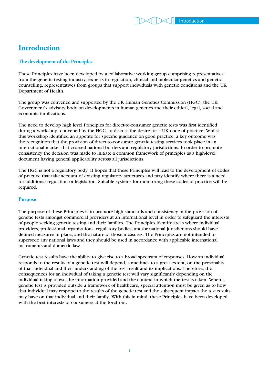## **Introduction**

## **The development of the Principles**

These Principles have been developed by a collaborative working group comprising representatives from the genetic testing industry, experts in regulation, clinical and molecular genetics and genetic counselling, representatives from groups that support individuals with genetic conditions and the UK Department of Health.

The group was convened and supported by the UK Human Genetics Commission (HGC), the UK Government's advisory body on developments in human genetics and their ethical, legal, social and economic implications.

The need to develop high level Principles for direct-to-consumer genetic tests was first identified during a workshop, convened by the HGC, to discuss the desire for a UK code of practice. Whilst this workshop identified an appetite for specific guidance on good practice, a key outcome was the recognition that the provision of direct-to-consumer genetic testing services took place in an international market that crossed national borders and regulatory jurisdictions. In order to promote consistency the decision was made to initiate a common framework of principles as a high-level document having general applicability across all jurisdictions.

The HGC is not a regulatory body. It hopes that these Principles will lead to the development of codes of practice that take account of existing regulatory structures and may identify where there is a need for additional regulation or legislation. Suitable systems for monitoring these codes of practice will be required.

#### **Purpose**

The purpose of these Principles is to promote high standards and consistency in the provision of genetic tests amongst commercial providers at an international level in order to safeguard the interests of people seeking genetic testing and their families. The Principles identify areas where individual providers, professional organisations, regulatory bodies, and/or national jurisdictions should have defined measures in place, and the nature of those measures. The Principles are not intended to supersede any national laws and they should be used in accordance with applicable international instruments and domestic law.

Genetic test results have the ability to give rise to a broad spectrum of responses. How an individual responds to the results of a genetic test will depend, sometimes to a great extent, on the personality of that individual and their understanding of the test result and its implications. Therefore, the consequences for an individual of taking a genetic test will vary significantly depending on the individual taking a test, the information provided and the context in which the test is taken. When a genetic test is provided outside a framework of healthcare, special attention must be given as to how that individual may respond to the results of the genetic test and the subsequent impact the test results may have on that individual and their family. With this in mind, these Principles have been developed with the best interests of consumers at the forefront.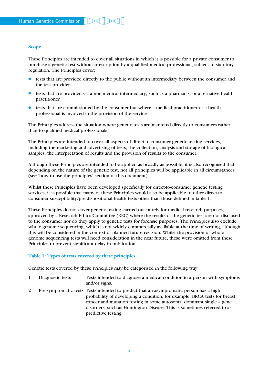#### **Scope**

These Principles are intended to cover all situations in which it is possible for a private consumer to purchase a genetic test without prescription by a qualified medical professional, subject to statutory regulation. The Principles cover:

- L tests that are provided directly to the public without an intermediary between the consumer and the test provider
- L tests that are provided via a non-medical intermediary, such as a pharmacist or alternative health practitioner
- L tests that are commissioned by the consumer but where a medical practitioner or a health professional is involved in the provision of the service

The Principles address the situation where genetic tests are marketed directly to consumers rather than to qualified medical professionals.

The Principles are intended to cover all aspects of direct-to-consumer genetic testing services, including the marketing and advertising of tests, the collection, analysis and storage of biological samples, the interpretation of results and the provision of results to the consumer.

Although these Principles are intended to be applied as broadly as possible, it is also recognised that, depending on the nature of the genetic test, not all principles will be applicable in all circumstances (see 'how to use the principles' section of this document).

Whilst these Principles have been developed specifically for direct-to-consumer genetic testing services, it is possible that many of these Principles would also be applicable to other direct-toconsumer susceptibility/pre-dispositional health tests other than those defined in table 1.

These Principles do not cover genetic testing carried out purely for medical research purposes, approved by a Research Ethics Committee (REC) where the results of the genetic test are not disclosed to the consumer nor do they apply to genetic tests for forensic purposes. The Principles also exclude whole genome sequencing, which is not widely commercially available at the time of writing, although this will be considered in the context of planned future revision. Whilst the provision of whole genome sequencing tests will need consideration in the near future, these were omitted from these Principles to prevent significant delay in publication.

## **Table 1: Types of tests covered by these principles**

Genetic tests covered by these Principles may be categorised in the following way:

- 1 Diagnostic tests Tests intended to diagnose a medical condition in a person with symptoms and/or signs.
- 2 Pre-symptomatic tests Tests intended to predict that an asymptomatic person has a high probability of developing a condition, for example, BRCA tests for breast cancer and mutation testing in some autosomal dominant single – gene disorders, such as Huntington Disease. This is sometimes referred to as predictive testing.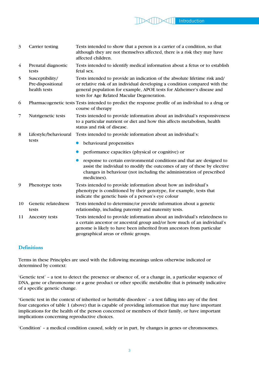- 3 Carrier testing Tests intended to show that a person is a carrier of a condition, so that although they are not themselves affected, there is a risk they may have affected children.
- 4 Prenatal diagnostic Tests intended to identify medical information about a fetus or to establish tests fetal sex.
- 5 Susceptibility/ Tests intended to provide an indication of the absolute lifetime risk and/ Pre-dispositional or relative risk of an individual developing a condition compared with the health tests general population for example, APOE tests for Alzheimer's disease and tests for Age Related Macular Degeneration.
- 6 Pharmacogenetic tests Tests intended to predict the response profile of an individual to a drug or course of therapy
- 7 Nutrigenetic tests Tests intended to provide information about an individual's responsiveness to a particular nutrient or diet and how this affects metabolism, health status and risk of disease.
- 8 Lifestyle/behavioural Tests intended to provide information about an individual's: tests
	- behavioural propensities
	- performance capacities (physical or cognitive) or
	- response to certain environmental conditions and that are designed to assist the individual to modify the outcomes of any of these by elective changes in behaviour (not including the administration of prescribed medicines).
- 9 Phenotype tests Tests intended to provide information about how an individual's phenotype is conditioned by their genotype, for example, tests that indicate the genetic basis of a person's eye colour
- 10 Genetic relatedness Tests intended to determine/or provide information about a genetic tests relationship, including paternity and maternity tests.
- 11 Ancestry tests Tests intended to provide information about an individual's relatedness to a certain ancestor or ancestral group and/or how much of an individual's genome is likely to have been inherited from ancestors from particular geographical areas or ethnic groups.

### **Definitions**

Terms in these Principles are used with the following meanings unless otherwise indicated or determined by context:

'Genetic test' – a test to detect the presence or absence of, or a change in, a particular sequence of DNA, gene or chromosome or a gene product or other specific metabolite that is primarily indicative of a specific genetic change.

'Genetic test in the context of inherited or heritable disorders' – a test falling into any of the first four categories of table 1 (above) that is capable of providing information that may have important implications for the health of the person concerned or members of their family, or have important implications concerning reproductive choices.

'Condition' – a medical condition caused, solely or in part, by changes in genes or chromosomes.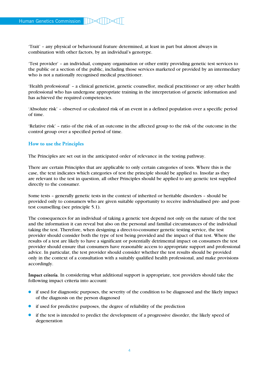'Trait' – any physical or behavioural feature determined, at least in part but almost always in combination with other factors, by an individual's genotype.

'Test provider' – an individual, company organisation or other entity providing genetic test services to the public or a section of the public, including those services marketed or provided by an intermediary who is not a nationally recognised medical practitioner.

'Health professional' – a clinical geneticist, genetic counsellor, medical practitioner or any other health professional who has undergone appropriate training in the interpretation of genetic information and has achieved the required competencies.

'Absolute risk' – observed or calculated risk of an event in a defined population over a specific period of time.

'Relative risk' – ratio of the risk of an outcome in the affected group to the risk of the outcome in the control group over a specified period of time.

#### **How to use the Principles**

The Principles are set out in the anticipated order of relevance in the testing pathway.

There are certain Principles that are applicable to only certain categories of tests. Where this is the case, the text indicates which categories of test the principle should be applied to. Insofar as they are relevant to the test in question, all other Principles should be applied to any genetic test supplied directly to the consumer.

Some tests – generally genetic tests in the context of inherited or heritable disorders – should be provided only to consumers who are given suitable opportunity to receive individualised pre- and posttest counselling (see principle 5.1).

The consequences for an individual of taking a genetic test depend not only on the nature of the test and the information it can reveal but also on the personal and familial circumstances of the individual taking the test. Therefore, when designing a direct-to-consumer genetic testing service, the test provider should consider both the type of test being provided and the impact of that test. Where the results of a test are likely to have a significant or potentially detrimental impact on consumers the test provider should ensure that consumers have reasonable access to appropriate support and professional advice. In particular, the test provider should consider whether the test results should be provided only in the context of a consultation with a suitably qualified health professional, and make provisions accordingly.

**Impact criteria**. In considering what additional support is appropriate, test providers should take the following impact criteria into account:

- L if used for diagnostic purposes, the severity of the condition to be diagnosed and the likely impact of the diagnosis on the person diagnosed
- $\bullet$  if used for predictive purposes, the degree of reliability of the prediction
- L if the test is intended to predict the development of a progressive disorder, the likely speed of degeneration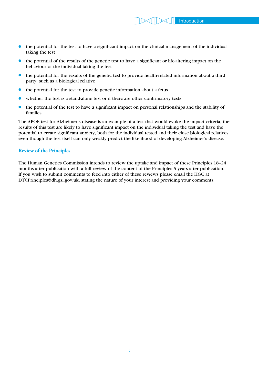- $\bullet$  the potential for the test to have a significant impact on the clinical management of the individual taking the test
- $\bullet$  the potential of the results of the genetic test to have a significant or life-altering impact on the behaviour of the individual taking the test
- $\bullet$  the potential for the results of the genetic test to provide health-related information about a third party, such as a biological relative
- $\bullet$  the potential for the test to provide genetic information about a fetus
- whether the test is a stand-alone test or if there are other confirmatory tests
- L the potential of the test to have a significant impact on personal relationships and the stability of families

The APOE test for Alzheimer's disease is an example of a test that would evoke the impact criteria; the results of this test are likely to have significant impact on the individual taking the test and have the potential to create significant anxiety, both for the individual tested and their close biological relatives, even though the test itself can only weakly predict the likelihood of developing Alzheimer's disease.

#### **Review of the Principles**

The Human Genetics Commission intends to review the uptake and impact of these Principles 18–24 months after publication with a full review of the content of the Principles 5 years after publication. If you wish to submit comments to feed into either of these reviews please email the HGC at [DTCPrinciples@dh.gsi.gov.uk,](mailto:DTCPrinciples@dh.gsi.gov.uk) stating the nature of your interest and providing your comments.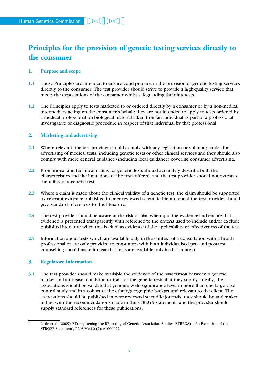# **Principles for the provision of genetic testing services directly to the consumer**

#### **1. Purpose and scope**

- **1.1** These Principles are intended to ensure good practice in the provision of genetic testing services directly to the consumer. The test provider should strive to provide a high-quality service that meets the expectations of the consumer whilst safeguarding their interests.
- **1.2** The Principles apply to tests marketed to or ordered directly by a consumer or by a non-medical intermediary acting on the consumer's behalf; they are not intended to apply to tests ordered by a medical professional on biological material taken from an individual as part of a professional investigative or diagnostic procedure in respect of that individual by that professional.

### **2. Marketing and advertising**

- **2.1** Where relevant, the test provider should comply with any legislation or voluntary codes for advertising of medical tests, including genetic tests or other clinical services and they should also comply with more general guidance (including legal guidance) covering consumer advertising.
- **2.2** Promotional and technical claims for genetic tests should accurately describe both the characteristics and the limitations of the tests offered, and the test provider should not overstate the utility of a genetic test.
- **2.3** Where a claim is made about the clinical validity of a genetic test, the claim should be supported by relevant evidence published in peer reviewed scientific literature and the test provider should give standard references to this literature.
- **2.4** The test provider should be aware of the risk of bias when quoting evidence and ensure that evidence is presented transparently with reference to the criteria used to include and/or exclude published literature when this is cited as evidence of the applicability or effectiveness of the test.
- **2.5** Information about tests which are available only in the context of a consultation with a health professional or are only provided to consumers with both individualised pre- and post-test counselling should make it clear that tests are available only in that context.

#### **3. Regulatory Information**

**3.1** The test provider should make available the evidence of the association between a genetic marker and a disease, condition or trait for the genetic tests that they supply. Ideally, the associations should be validated at genome wide significance level in more than one large case control study and in a cohort of the ethnic/geographic background relevant to the client. The associations should be published in peer-reviewed scientific journals, they should be undertaken in line with the recommendations made in the STREGA statement<sup>\*</sup>, and the provider should supply standard references for these publications.

<sup>\*</sup> Little et al. (2009) 'STrengthening the REporting of Genetic Association Studies (STREGA) – An Extension of the STROBE Statement', PLoS Med 6 (2): e1000022.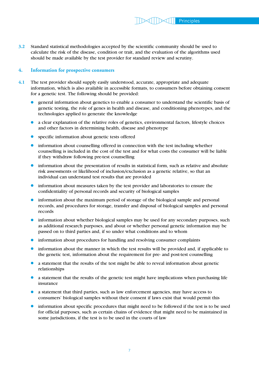**3.2** Standard statistical methodologies accepted by the scientific community should be used to calculate the risk of the disease, condition or trait, and the evaluation of the algorithms used should be made available by the test provider for standard review and scrutiny.

#### **4. Information for prospective consumers**

- **4.1** The test provider should supply easily understood, accurate, appropriate and adequate information, which is also available in accessible formats, to consumers before obtaining consent for a genetic test. The following should be provided:
	- general information about genetics to enable a consumer to understand the scientific basis of genetic testing, the role of genes in health and disease, and conditioning phenotypes, and the technologies applied to generate the knowledge
	- $\bullet$  a clear explanation of the relative roles of genetics, environmental factors, lifestyle choices and other factors in determining health, disease and phenotype
	- **.** specific information about genetic tests offered
	- **.** information about counselling offered in connection with the test including whether counselling is included in the cost of the test and for what costs the consumer will be liable if they withdraw following pre-test counselling
	- information about the presentation of results in statistical form, such as relative and absolute risk assessments or likelihood of inclusion/exclusion as a genetic relative, so that an individual can understand test results that are provided
	- **.** information about measures taken by the test provider and laboratories to ensure the confidentiality of personal records and security of biological samples
	- **•** information about the maximum period of storage of the biological sample and personal records, and procedures for storage, transfer and disposal of biological samples and personal records
	- information about whether biological samples may be used for any secondary purposes, such as additional research purposes, and about or whether personal genetic information may be passed on to third parties and, if so under what conditions and to whom
	- information about procedures for handling and resolving consumer complaints
	- L information about the manner in which the test results will be provided and, if applicable to the genetic test, information about the requirement for pre- and post-test counselling
	- L a statement that the results of the test might be able to reveal information about genetic relationships
	- $\bullet$  a statement that the results of the genetic test might have implications when purchasing life insurance
	- a statement that third parties, such as law enforcement agencies, may have access to consumers' biological samples without their consent if laws exist that would permit this
	- L information about specific procedures that might need to be followed if the test is to be used for official purposes, such as certain chains of evidence that might need to be maintained in some jurisdictions, if the test is to be used in the courts of law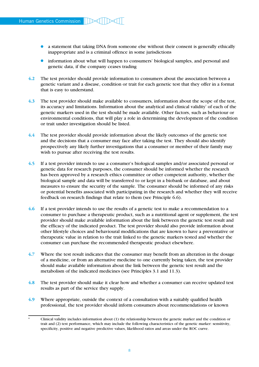- a statement that taking DNA from someone else without their consent is generally ethically inappropriate and is a criminal offence in some jurisdictions
- **.** information about what will happen to consumers' biological samples, and personal and genetic data, if the company ceases trading
- **4.2** The test provider should provide information to consumers about the association between a genetic variant and a disease, condition or trait for each genetic test that they offer in a format that is easy to understand.
- **4.3** The test provider should make available to consumers, information about the scope of the test, its accuracy and limitations. Information about the analytical and clinical validity\* of each of the genetic markers used in the test should be made available. Other factors, such as behaviour or environmental conditions, that will play a role in determining the development of the condition or trait under investigation should be listed.
- **4.4** The test provider should provide information about the likely outcomes of the genetic test and the decisions that a consumer may face after taking the test. They should also identify prospectively any likely further investigations that a consumer or member of their family may wish to pursue after receiving the test results.
- **4.5** If a test provider intends to use a consumer's biological samples and/or associated personal or genetic data for research purposes, the consumer should be informed whether the research has been approved by a research ethics committee or other competent authority, whether the biological sample and data will be transferred to or kept in a biobank or database, and about measures to ensure the security of the sample. The consumer should be informed of any risks or potential benefits associated with participating in the research and whether they will receive feedback on research findings that relate to them (see Principle 6.6).
- **4.6** If a test provider intends to use the results of a genetic test to make a recommendation to a consumer to purchase a therapeutic product, such as a nutritional agent or supplement, the test provider should make available information about the link between the genetic test result and the efficacy of the indicated product. The test provider should also provide information about other lifestyle choices and behavioural modifications that are known to have a preventative or therapeutic value in relation to the trait linked to the genetic markers tested and whether the consumer can purchase the recommended therapeutic product elsewhere.
- **4.7** Where the test result indicates that the consumer may benefit from an alteration in the dosage of a medicine, or from an alternative medicine to one currently being taken, the test provider should make available information about the link between the genetic test result and the metabolism of the indicated medicines (see Principles 3.1 and 11.3).
- **4.8** The test provider should make it clear how and whether a consumer can receive updated test results as part of the service they supply.
- **4.9** Where appropriate, outside the context of a consultation with a suitably qualified health professional, the test provider should inform consumers about recommendations or known

<sup>\*</sup> Clinical validity includes information about (1) the relationship between the genetic marker and the condition or trait and (2) test performance, which may include the following characteristics of the genetic marker: sensitivity, specificity, positive and negative predictive values, likelihood ratios and areas under the ROC curve.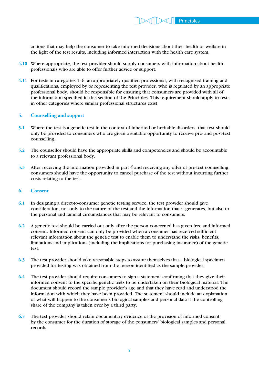actions that may help the consumer to take informed decisions about their health or welfare in the light of the test results, including informed interaction with the health care system.

- **4.10** Where appropriate, the test provider should supply consumers with information about health professionals who are able to offer further advice or support.
- **4.11** For tests in categories 1–6, an appropriately qualified professional, with recognised training and qualifications, employed by or representing the test provider, who is regulated by an appropriate professional body, should be responsible for ensuring that consumers are provided with all of the information specified in this section of the Principles. This requirement should apply to tests in other categories where similar professional structures exist.

#### **5. Counselling and support**

- **5.1** Where the test is a genetic test in the context of inherited or heritable disorders, that test should only be provided to consumers who are given a suitable opportunity to receive pre- and post-test counselling.
- **5.2** The counsellor should have the appropriate skills and competencies and should be accountable to a relevant professional body.
- **5.3** After receiving the information provided in part 4 and receiving any offer of pre-test counselling, consumers should have the opportunity to cancel purchase of the test without incurring further costs relating to the test.

#### **6. Consent**

- **6.1** In designing a direct-to-consumer genetic testing service, the test provider should give consideration, not only to the nature of the test and the information that it generates, but also to the personal and familial circumstances that may be relevant to consumers.
- **6.2** A genetic test should be carried out only after the person concerned has given free and informed consent. Informed consent can only be provided when a consumer has received sufficient relevant information about the genetic test to enable them to understand the risks, benefits, limitations and implications (including the implications for purchasing insurance) of the genetic test.
- **6.3** The test provider should take reasonable steps to assure themselves that a biological specimen provided for testing was obtained from the person identified as the sample provider.
- **6.4** The test provider should require consumers to sign a statement confirming that they give their informed consent to the specific genetic tests to be undertaken on their biological material. The document should record the sample provider's age and that they have read and understood the information with which they have been provided. The statement should include an explanation of what will happen to the consumer's biological samples and personal data if the controlling share of the company is taken over by a third party.
- **6.5** The test provider should retain documentary evidence of the provision of informed consent by the consumer for the duration of storage of the consumers' biological samples and personal records.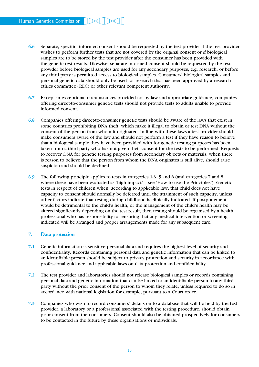- **6.6** Separate, specific, informed consent should be requested by the test provider if the test provider wishes to perform further tests that are not covered by the original consent or if biological samples are to be stored by the test provider after the consumer has been provided with the genetic test results. Likewise, separate informed consent should be requested by the test provider before biological samples are used for any secondary purposes, e.g. research, or before any third party is permitted access to biological samples. Consumers' biological samples and personal genetic data should only be used for research that has been approved by a research ethics committee (REC) or other relevant competent authority.
- **6.7** Except in exceptional circumstances provided for by law and appropriate guidance, companies offering direct-to-consumer genetic tests should not provide tests to adults unable to provide informed consent.
- **6.8** Companies offering direct-to-consumer genetic tests should be aware of the laws that exist in some countries prohibiting DNA theft, which make it illegal to obtain or test DNA without the consent of the person from whom it originated. In line with these laws a test provider should make consumers aware of the law and should not perform a test if they have reason to believe that a biological sample they have been provided with for genetic testing purposes has been taken from a third party who has not given their consent for the tests to be performed. Requests to recover DNA for genetic testing purposes from secondary objects or materials, when there is reason to believe that the person from whom the DNA originates is still alive, should raise suspicion and should be declined.
- **6.9** The following principle applies to tests in categories 1-3, 5 and 6 (and categories 7 and 8 where these have been evaluated as 'high impact' – see 'How to use the Principles'). Genetic tests in respect of children when, according to applicable law, that child does not have capacity to consent should normally be deferred until the attainment of such capacity, unless other factors indicate that testing during childhood is clinically indicated. If postponement would be detrimental to the child's health, or the management of the child's health may be altered significantly depending on the test result, then testing should be organised by a health professional who has responsibility for ensuring that any medical intervention or screening indicated will be arranged and proper arrangements made for any subsequent care.

#### **7. Data protection**

- **7.1** Genetic information is sensitive personal data and requires the highest level of security and confidentiality. Records containing personal data and genetic information that can be linked to an identifiable person should be subject to privacy protection and security in accordance with professional guidance and applicable laws on data protection and confidentiality.
- **7.2** The test provider and laboratories should not release biological samples or records containing personal data and genetic information that can be linked to an identifiable person to any third party without the prior consent of the person to whom they relate, unless required to do so in accordance with national legislation for example, pursuant to a Court order.
- **7.3** Companies who wish to record consumers' details on to a database that will be held by the test provider, a laboratory or a professional associated with the testing procedure, should obtain prior consent from the consumers. Consent should also be obtained prospectively for consumers to be contacted in the future by these organisations or individuals.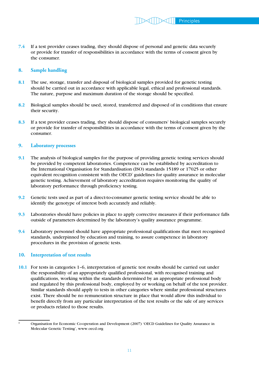**7.4** If a test provider ceases trading, they should dispose of personal and genetic data securely or provide for transfer of responsibilities in accordance with the terms of consent given by the consumer.

#### **8. Sample handling**

- **8.1** The use, storage, transfer and disposal of biological samples provided for genetic testing should be carried out in accordance with applicable legal, ethical and professional standards. The nature, purpose and maximum duration of the storage should be specified.
- **8.2** Biological samples should be used, stored, transferred and disposed of in conditions that ensure their security.
- **8.3** If a test provider ceases trading, they should dispose of consumers' biological samples securely or provide for transfer of responsibilities in accordance with the terms of consent given by the consumer.

#### **9. Laboratory processes**

- **9.1** The analysis of biological samples for the purpose of providing genetic testing services should be provided by competent laboratories. Competence can be established by accreditation to the International Organisation for Standardisation (ISO) standards 15189 or 17025 or other equivalent recognition consistent with the OECD<sup>\*</sup> guidelines for quality assurance in molecular genetic testing. Achievement of laboratory accreditation requires monitoring the quality of laboratory performance through proficiency testing.
- **9.2** Genetic tests used as part of a direct-to-consumer genetic testing service should be able to identify the genotype of interest both accurately and reliably.
- **9.3** Laboratories should have policies in place to apply corrective measures if their performance falls outside of parameters determined by the laboratory's quality assurance programme.
- **9.4** Laboratory personnel should have appropriate professional qualifications that meet recognised standards, underpinned by education and training, to assure competence in laboratory procedures in the provision of genetic tests.

#### **10. Interpretation of test results**

**10.1** For tests in categories 1–6, interpretation of genetic test results should be carried out under the responsibility of an appropriately qualified professional, with recognised training and qualifications, working within the standards determined by an appropriate professional body and regulated by this professional body, employed by or working on behalf of the test provider. Similar standards should apply to tests in other categories where similar professional structures exist. There should be no remuneration structure in place that would allow this individual to benefit directly from any particular interpretation of the test results or the sale of any services or products related to those results.

Organisation for Economic Co-operation and Development (2007) 'OECD Guidelines for Quality Assurance in Molecular Genetic Testing', www.oecd.org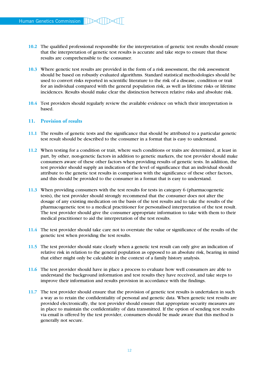- **10.2** The qualified professional responsible for the interpretation of genetic test results should ensure that the interpretation of genetic test results is accurate and take steps to ensure that these results are comprehensible to the consumer.
- **10.3** Where genetic test results are provided in the form of a risk assessment, the risk assessment should be based on robustly evaluated algorithms. Standard statistical methodologies should be used to convert risks reported in scientific literature to the risk of a disease, condition or trait for an individual compared with the general population risk, as well as lifetime risks or lifetime incidences. Results should make clear the distinction between relative risks and absolute risk.
- **10.4** Test providers should regularly review the available evidence on which their interpretation is based.

#### **11. Provision of results**

- **11.1** The results of genetic tests and the significance that should be attributed to a particular genetic test result should be described to the consumer in a format that is easy to understand.
- **11.2** When testing for a condition or trait, where such conditions or traits are determined, at least in part, by other, non-genetic factors in addition to genetic markers, the test provider should make consumers aware of these other factors when providing results of genetic tests. In addition, the test provider should supply an indication of the level of significance that an individual should attribute to the genetic test results in comparison with the significance of these other factors, and this should be provided to the consumer in a format that is easy to understand.
- **11.3** When providing consumers with the test results for tests in category 6 (pharmacogenetic tests), the test provider should strongly recommend that the consumer does not alter the dosage of any existing medication on the basis of the test results and to take the results of the pharmacogenetic test to a medical practitioner for personalised interpretation of the test result. The test provider should give the consumer appropriate information to take with them to their medical practitioner to aid the interpretation of the test results.
- **11.4** The test provider should take care not to overstate the value or significance of the results of the genetic test when providing the test results.
- **11.5** The test provider should state clearly when a genetic test result can only give an indication of relative risk in relation to the general population as opposed to an absolute risk, bearing in mind that either might only be calculable in the context of a family history analysis.
- **11.6** The test provider should have in place a process to evaluate how well consumers are able to understand the background information and test results they have received, and take steps to improve their information and results provision in accordance with the findings.
- **11.7** The test provider should ensure that the provision of genetic test results is undertaken in such a way as to retain the confidentiality of personal and genetic data. When genetic test results are provided electronically, the test provider should ensure that appropriate security measures are in place to maintain the confidentiality of data transmitted. If the option of sending test results via email is offered by the test provider, consumers should be made aware that this method is generally not secure.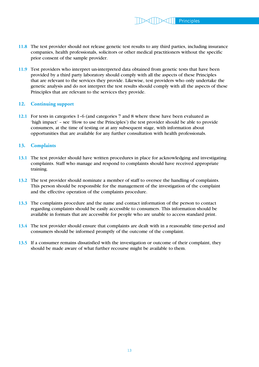- **11.8** The test provider should not release genetic test results to any third parties, including insurance companies, health professionals, solicitors or other medical practitioners without the specific prior consent of the sample provider.
- **11.9** Test providers who interpret un-interpreted data obtained from genetic tests that have been provided by a third party laboratory should comply with all the aspects of these Principles that are relevant to the services they provide. Likewise, test providers who only undertake the genetic analysis and do not interpret the test results should comply with all the aspects of these Principles that are relevant to the services they provide.

#### **12. Continuing support**

**12.1** For tests in categories 1–6 (and categories 7 and 8 where these have been evaluated as 'high impact' – see 'How to use the Principles') the test provider should be able to provide consumers, at the time of testing or at any subsequent stage, with information about opportunities that are available for any further consultation with health professionals.

#### **13. Complaints**

- **13.1** The test provider should have written procedures in place for acknowledging and investigating complaints. Staff who manage and respond to complaints should have received appropriate training.
- **13.2** The test provider should nominate a member of staff to oversee the handling of complaints. This person should be responsible for the management of the investigation of the complaint and the effective operation of the complaints procedure.
- **13.3** The complaints procedure and the name and contact information of the person to contact regarding complaints should be easily accessible to consumers. This information should be available in formats that are accessible for people who are unable to access standard print.
- **13.4** The test provider should ensure that complaints are dealt with in a reasonable time-period and consumers should be informed promptly of the outcome of the complaint.
- **13.5** If a consumer remains dissatisfied with the investigation or outcome of their complaint, they should be made aware of what further recourse might be available to them.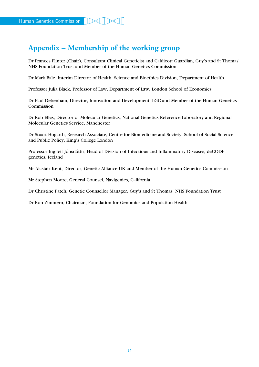## **Appendix – Membership of the working group**

Dr Frances Flinter (Chair), Consultant Clinical Geneticist and Caldicott Guardian, Guy's and St Thomas' NHS Foundation Trust and Member of the Human Genetics Commission

Dr Mark Bale, Interim Director of Health, Science and Bioethics Division, Department of Health

Professor Julia Black, Professor of Law, Department of Law, London School of Economics

Dr Paul Debenham, Director, Innovation and Development, LGC and Member of the Human Genetics Commission

Dr Rob Elles, Director of Molecular Genetics, National Genetics Reference Laboratory and Regional Molecular Genetics Service, Manchester

Dr Stuart Hogarth, Research Associate, Centre for Biomedicine and Society, School of Social Science and Public Policy, King's College London

Professor Ingileif Jónsdóttir, Head of Division of Infectious and Inflammatory Diseases, deCODE genetics, Iceland

Mr Alastair Kent, Director, Genetic Alliance UK and Member of the Human Genetics Commission

Mr Stephen Moore, General Counsel, Navigenics, California

Dr Christine Patch, Genetic Counsellor Manager, Guy's and St Thomas' NHS Foundation Trust

Dr Ron Zimmern, Chairman, Foundation for Genomics and Population Health